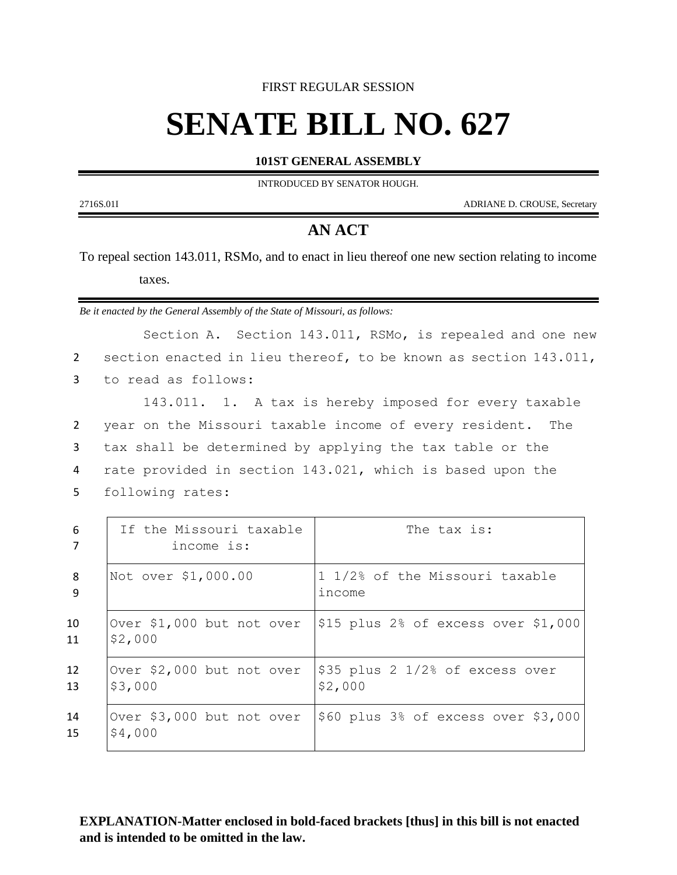#### FIRST REGULAR SESSION

# **SENATE BILL NO. 627**

#### **101ST GENERAL ASSEMBLY**

INTRODUCED BY SENATOR HOUGH.

2716S.01I ADRIANE D. CROUSE, Secretary

## **AN ACT**

To repeal section 143.011, RSMo, and to enact in lieu thereof one new section relating to income taxes.

*Be it enacted by the General Assembly of the State of Missouri, as follows:*

Section A. Section 143.011, RSMo, is repealed and one new section enacted in lieu thereof, to be known as section 143.011, to read as follows: 143.011. 1. A tax is hereby imposed for every taxable year on the Missouri taxable income of every resident. The tax shall be determined by applying the tax table or the rate provided in section 143.021, which is based upon the following rates:

| 6        | If the Missouri taxable<br>income is: | The tax is:                                |
|----------|---------------------------------------|--------------------------------------------|
| 8<br>9   | Not over \$1,000.00                   | 1 1/2% of the Missouri taxable<br>income   |
| 10<br>11 | Over \$1,000 but not over<br>\$2,000  | $\$15$ plus 2% of excess over $\$1,000$    |
| 12<br>13 | Over \$2,000 but not over<br>\$3,000  | \$35 plus 2 1/2% of excess over<br>\$2,000 |
| 14<br>15 | Over \$3,000 but not over<br>\$4,000  | $$60$ plus $3\%$ of excess over $$3,000$   |

### **EXPLANATION-Matter enclosed in bold-faced brackets [thus] in this bill is not enacted and is intended to be omitted in the law.**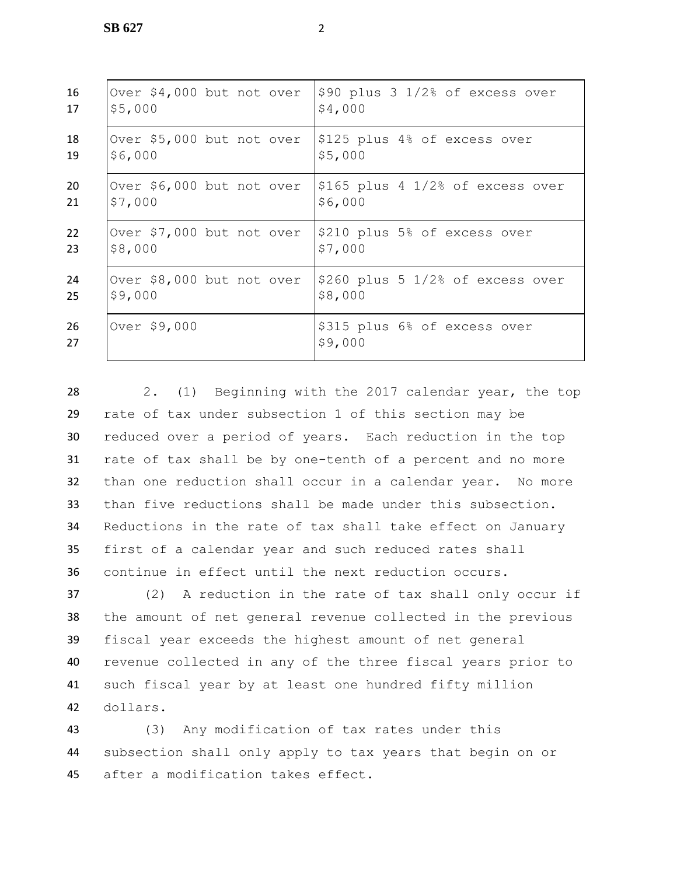| 16       | Over \$4,000 but not over | \$90 plus 3 1/2% of excess over         |
|----------|---------------------------|-----------------------------------------|
| 17       | \$5,000                   | \$4,000                                 |
| 18       | Over \$5,000 but not over | \$125 plus 4% of excess over            |
| 19       | \$6,000                   | \$5,000                                 |
| 20       | Over \$6,000 but not over | $ $165$ plus 4 $1/2$ % of excess over   |
| 21       | \$7,000                   | \$6,000                                 |
| 22       | Over \$7,000 but not over | \$210 plus 5% of excess over            |
| 23       | \$8,000                   | \$7,000                                 |
| 24       | Over \$8,000 but not over | \$260 plus 5 1/2% of excess over        |
| 25       | \$9,000                   | \$8,000                                 |
| 26<br>27 | Over \$9,000              | \$315 plus 6% of excess over<br>\$9,000 |

 2. (1) Beginning with the 2017 calendar year, the top rate of tax under subsection 1 of this section may be reduced over a period of years. Each reduction in the top rate of tax shall be by one-tenth of a percent and no more than one reduction shall occur in a calendar year. No more than five reductions shall be made under this subsection. Reductions in the rate of tax shall take effect on January first of a calendar year and such reduced rates shall continue in effect until the next reduction occurs.

 (2) A reduction in the rate of tax shall only occur if the amount of net general revenue collected in the previous fiscal year exceeds the highest amount of net general revenue collected in any of the three fiscal years prior to such fiscal year by at least one hundred fifty million 42 dollars.

43 (3) Any modification of tax rates under this 44 subsection shall only apply to tax years that begin on or 45 after a modification takes effect.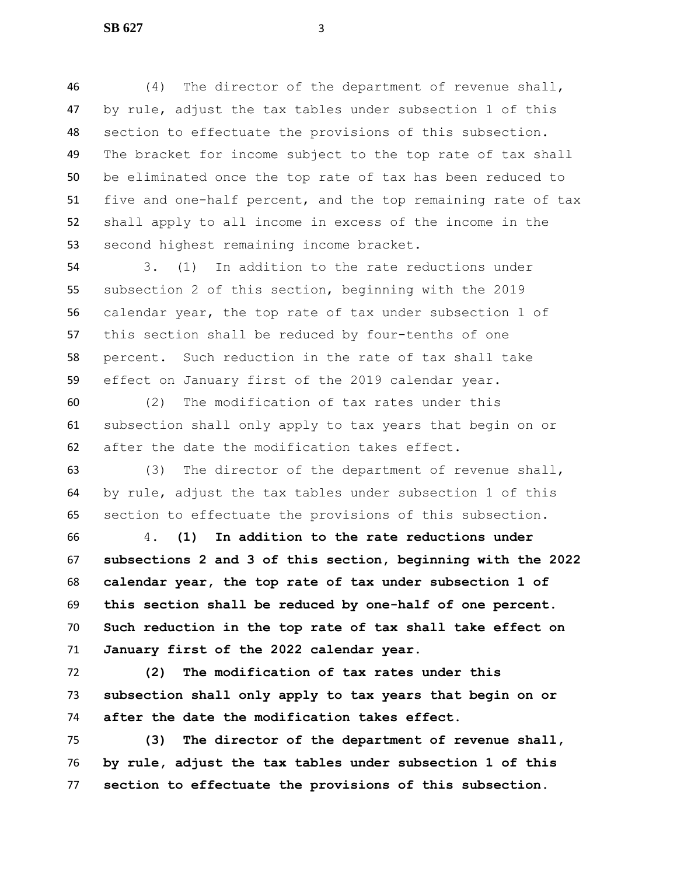(4) The director of the department of revenue shall, by rule, adjust the tax tables under subsection 1 of this section to effectuate the provisions of this subsection. The bracket for income subject to the top rate of tax shall be eliminated once the top rate of tax has been reduced to five and one-half percent, and the top remaining rate of tax shall apply to all income in excess of the income in the second highest remaining income bracket.

 3. (1) In addition to the rate reductions under subsection 2 of this section, beginning with the 2019 calendar year, the top rate of tax under subsection 1 of this section shall be reduced by four-tenths of one percent. Such reduction in the rate of tax shall take effect on January first of the 2019 calendar year.

 (2) The modification of tax rates under this subsection shall only apply to tax years that begin on or after the date the modification takes effect.

 (3) The director of the department of revenue shall, by rule, adjust the tax tables under subsection 1 of this section to effectuate the provisions of this subsection.

 4. **(1) In addition to the rate reductions under subsections 2 and 3 of this section, beginning with the 2022 calendar year, the top rate of tax under subsection 1 of this section shall be reduced by one-half of one percent. Such reduction in the top rate of tax shall take effect on January first of the 2022 calendar year.**

 **(2) The modification of tax rates under this subsection shall only apply to tax years that begin on or after the date the modification takes effect.**

 **(3) The director of the department of revenue shall, by rule, adjust the tax tables under subsection 1 of this section to effectuate the provisions of this subsection.**